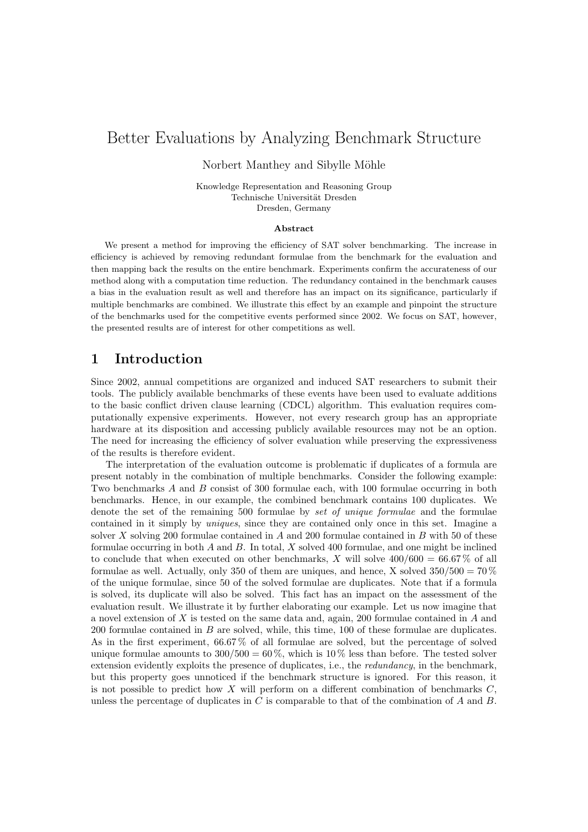# Better Evaluations by Analyzing Benchmark Structure

Norbert Manthey and Sibylle Möhle

Knowledge Representation and Reasoning Group Technische Universität Dresden Dresden, Germany

#### Abstract

We present a method for improving the efficiency of SAT solver benchmarking. The increase in efficiency is achieved by removing redundant formulae from the benchmark for the evaluation and then mapping back the results on the entire benchmark. Experiments confirm the accurateness of our method along with a computation time reduction. The redundancy contained in the benchmark causes a bias in the evaluation result as well and therefore has an impact on its significance, particularly if multiple benchmarks are combined. We illustrate this effect by an example and pinpoint the structure of the benchmarks used for the competitive events performed since 2002. We focus on SAT, however, the presented results are of interest for other competitions as well.

### <span id="page-0-0"></span>1 Introduction

Since 2002, annual competitions are organized and induced SAT researchers to submit their tools. The publicly available benchmarks of these events have been used to evaluate additions to the basic conflict driven clause learning (CDCL) algorithm. This evaluation requires computationally expensive experiments. However, not every research group has an appropriate hardware at its disposition and accessing publicly available resources may not be an option. The need for increasing the efficiency of solver evaluation while preserving the expressiveness of the results is therefore evident.

The interpretation of the evaluation outcome is problematic if duplicates of a formula are present notably in the combination of multiple benchmarks. Consider the following example: Two benchmarks A and B consist of 300 formulae each, with 100 formulae occurring in both benchmarks. Hence, in our example, the combined benchmark contains 100 duplicates. We denote the set of the remaining 500 formulae by set of unique formulae and the formulae contained in it simply by uniques, since they are contained only once in this set. Imagine a solver  $X$  solving 200 formulae contained in  $A$  and 200 formulae contained in  $B$  with 50 of these formulae occurring in both  $A$  and  $B$ . In total,  $X$  solved 400 formulae, and one might be inclined to conclude that when executed on other benchmarks, X will solve  $400/600 = 66.67\%$  of all formulae as well. Actually, only 350 of them are uniques, and hence, X solved  $350/500 = 70\%$ of the unique formulae, since 50 of the solved formulae are duplicates. Note that if a formula is solved, its duplicate will also be solved. This fact has an impact on the assessment of the evaluation result. We illustrate it by further elaborating our example. Let us now imagine that a novel extension of X is tested on the same data and, again, 200 formulae contained in A and 200 formulae contained in B are solved, while, this time, 100 of these formulae are duplicates. As in the first experiment, 66.67 % of all formulae are solved, but the percentage of solved unique formulae amounts to  $300/500 = 60\%$ , which is  $10\%$  less than before. The tested solver extension evidently exploits the presence of duplicates, i.e., the *redundancy*, in the benchmark, but this property goes unnoticed if the benchmark structure is ignored. For this reason, it is not possible to predict how X will perform on a different combination of benchmarks  $C$ , unless the percentage of duplicates in  $C$  is comparable to that of the combination of  $A$  and  $B$ .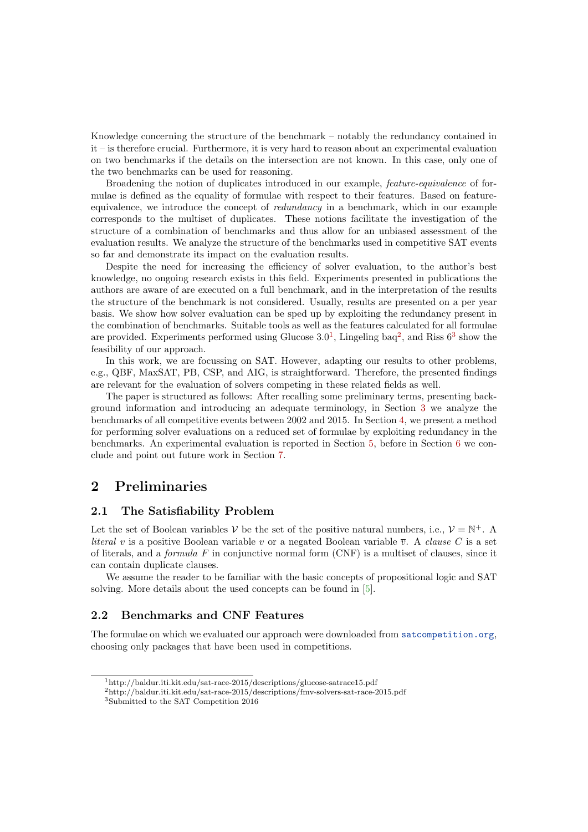Knowledge concerning the structure of the benchmark – notably the redundancy contained in it – is therefore crucial. Furthermore, it is very hard to reason about an experimental evaluation on two benchmarks if the details on the intersection are not known. In this case, only one of the two benchmarks can be used for reasoning.

Broadening the notion of duplicates introduced in our example, feature-equivalence of formulae is defined as the equality of formulae with respect to their features. Based on featureequivalence, we introduce the concept of redundancy in a benchmark, which in our example corresponds to the multiset of duplicates. These notions facilitate the investigation of the structure of a combination of benchmarks and thus allow for an unbiased assessment of the evaluation results. We analyze the structure of the benchmarks used in competitive SAT events so far and demonstrate its impact on the evaluation results.

Despite the need for increasing the efficiency of solver evaluation, to the author's best knowledge, no ongoing research exists in this field. Experiments presented in publications the authors are aware of are executed on a full benchmark, and in the interpretation of the results the structure of the benchmark is not considered. Usually, results are presented on a per year basis. We show how solver evaluation can be sped up by exploiting the redundancy present in the combination of benchmarks. Suitable tools as well as the features calculated for all formulae are provided. Experiments performed using Glucose  $3.0<sup>1</sup>$  $3.0<sup>1</sup>$  $3.0<sup>1</sup>$ , Lingeling baq<sup>[2](#page-1-1)</sup>, and Riss  $6<sup>3</sup>$  $6<sup>3</sup>$  $6<sup>3</sup>$  show the feasibility of our approach.

In this work, we are focussing on SAT. However, adapting our results to other problems, e.g., QBF, MaxSAT, PB, CSP, and AIG, is straightforward. Therefore, the presented findings are relevant for the evaluation of solvers competing in these related fields as well.

The paper is structured as follows: After recalling some preliminary terms, presenting background information and introducing an adequate terminology, in Section [3](#page-2-0) we analyze the benchmarks of all competitive events between 2002 and 2015. In Section [4,](#page-5-0) we present a method for performing solver evaluations on a reduced set of formulae by exploiting redundancy in the benchmarks. An experimental evaluation is reported in Section [5,](#page-6-0) before in Section [6](#page-8-0) we conclude and point out future work in Section [7.](#page-9-0)

### 2 Preliminaries

#### 2.1 The Satisfiability Problem

Let the set of Boolean variables V be the set of the positive natural numbers, i.e.,  $V = N^{+}$ . A literal v is a positive Boolean variable v or a negated Boolean variable  $\overline{v}$ . A clause C is a set of literals, and a *formula F* in conjunctive normal form  $(CNF)$  is a multiset of clauses, since it can contain duplicate clauses.

We assume the reader to be familiar with the basic concepts of propositional logic and SAT solving. More details about the used concepts can be found in [\[5\]](#page-10-0).

#### 2.2 Benchmarks and CNF Features

The formulae on which we evaluated our approach were downloaded from <satcompetition.org>, choosing only packages that have been used in competitions.

<span id="page-1-0"></span><sup>1</sup>http://baldur.iti.kit.edu/sat-race-2015/descriptions/glucose-satrace15.pdf

<span id="page-1-1"></span> $^{2}$ http://baldur.iti.kit.edu/sat-race-2015/descriptions/fmv-solvers-sat-race-2015.pdf

<span id="page-1-2"></span><sup>3</sup>Submitted to the SAT Competition 2016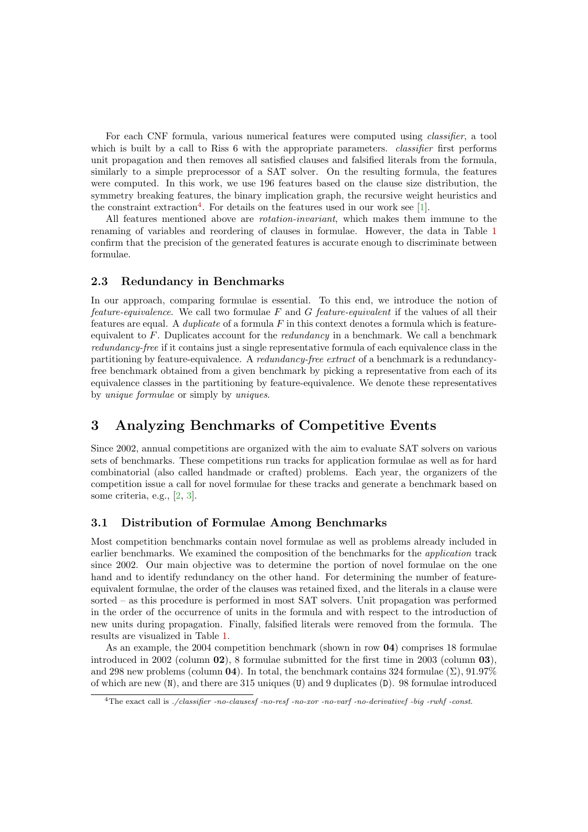For each CNF formula, various numerical features were computed using classifier, a tool which is built by a call to Riss 6 with the appropriate parameters. *classifier* first performs unit propagation and then removes all satisfied clauses and falsified literals from the formula, similarly to a simple preprocessor of a SAT solver. On the resulting formula, the features were computed. In this work, we use 196 features based on the clause size distribution, the symmetry breaking features, the binary implication graph, the recursive weight heuristics and the constraint extraction<sup>[4](#page-2-1)</sup>. For details on the features used in our work see [\[1\]](#page-9-1).

All features mentioned above are rotation-invariant, which makes them immune to the renaming of variables and reordering of clauses in formulae. However, the data in Table [1](#page-3-0) confirm that the precision of the generated features is accurate enough to discriminate between formulae.

#### 2.3 Redundancy in Benchmarks

In our approach, comparing formulae is essential. To this end, we introduce the notion of feature-equivalence. We call two formulae  $F$  and  $G$  feature-equivalent if the values of all their features are equal. A *duplicate* of a formula  $F$  in this context denotes a formula which is featureequivalent to F. Duplicates account for the redundancy in a benchmark. We call a benchmark redundancy-free if it contains just a single representative formula of each equivalence class in the partitioning by feature-equivalence. A redundancy-free extract of a benchmark is a redundancyfree benchmark obtained from a given benchmark by picking a representative from each of its equivalence classes in the partitioning by feature-equivalence. We denote these representatives by unique formulae or simply by uniques.

### <span id="page-2-0"></span>3 Analyzing Benchmarks of Competitive Events

Since 2002, annual competitions are organized with the aim to evaluate SAT solvers on various sets of benchmarks. These competitions run tracks for application formulae as well as for hard combinatorial (also called handmade or crafted) problems. Each year, the organizers of the competition issue a call for novel formulae for these tracks and generate a benchmark based on some criteria, e.g., [\[2,](#page-9-2) [3\]](#page-9-3).

#### 3.1 Distribution of Formulae Among Benchmarks

Most competition benchmarks contain novel formulae as well as problems already included in earlier benchmarks. We examined the composition of the benchmarks for the application track since 2002. Our main objective was to determine the portion of novel formulae on the one hand and to identify redundancy on the other hand. For determining the number of featureequivalent formulae, the order of the clauses was retained fixed, and the literals in a clause were sorted – as this procedure is performed in most SAT solvers. Unit propagation was performed in the order of the occurrence of units in the formula and with respect to the introduction of new units during propagation. Finally, falsified literals were removed from the formula. The results are visualized in Table [1.](#page-3-0)

As an example, the 2004 competition benchmark (shown in row 04) comprises 18 formulae introduced in 2002 (column 02), 8 formulae submitted for the first time in 2003 (column 03), and 298 new problems (column 04). In total, the benchmark contains 324 formulae  $(\Sigma)$ , 91.97% of which are new  $(N)$ , and there are 315 uniques  $(U)$  and 9 duplicates  $(D)$ . 98 formulae introduced

<span id="page-2-1"></span><sup>4</sup>The exact call is ./classifier -no-clausesf -no-resf -no-xor -no-varf -no-derivativef -big -rwhf -const.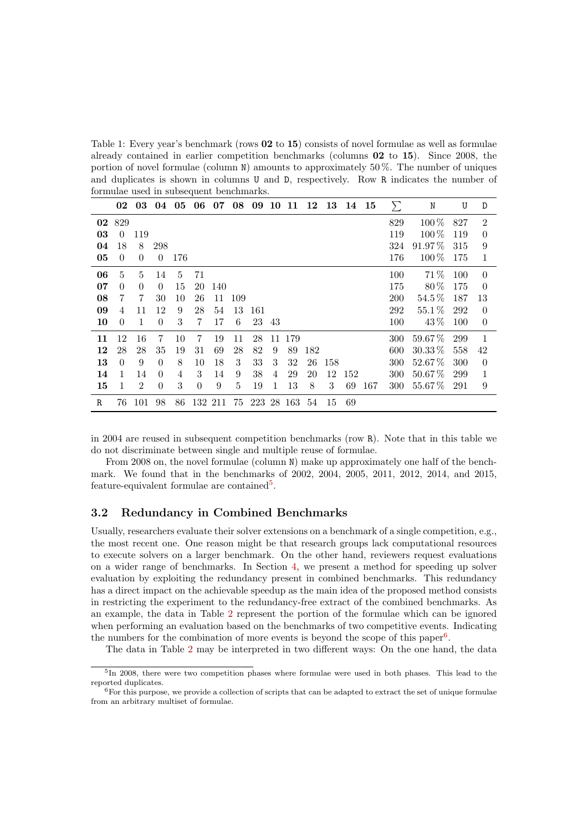<span id="page-3-0"></span>Table 1: Every year's benchmark (rows **02** to **15**) consists of novel formulae as well as formulae already contained in earlier competition benchmarks (columns 02 to 15). Since 2008, the portion of novel formulae (column  $N$ ) amounts to approximately 50%. The number of uniques and duplicates is shown in columns U and D, respectively. Row R indicates the number of formulae used in subsequent benchmarks.

|             | 02           |                             | 03 04 05 06 07 |     |                |     | 08   | 09   |     | 10 11 12   |     | 13 14 15 |     |     | $\sum$     | N           | U    | D              |
|-------------|--------------|-----------------------------|----------------|-----|----------------|-----|------|------|-----|------------|-----|----------|-----|-----|------------|-------------|------|----------------|
|             | 02 829       |                             |                |     |                |     |      |      |     |            |     |          |     |     | 829        | $100\,\%$   | 827  | $\overline{2}$ |
| 03          | $\Omega$     | 119                         |                |     |                |     |      |      |     |            |     |          |     |     | 119        | $100\%$     | 119  | $\Omega$       |
| 04          | 18           | 8                           | 298            |     |                |     |      |      |     |            |     |          |     |     | 324        | $91.97\,\%$ | 315  | 9              |
| 05          | $\theta$     | $\theta$                    | $\overline{0}$ | 176 |                |     |      |      |     |            |     |          |     |     | 176        | $100\,\%$   | -175 | 1              |
| 06          | 5            | 5                           | 14             | 5   | 71             |     |      |      |     |            |     |          |     |     | 100        | 71\%        | 100  | $\Omega$       |
| 07          | $\Omega$     | $\Omega$                    | $\Omega$       | 15  | 20             | 140 |      |      |     |            |     |          |     |     | 175        | 80%         | 175  | $\overline{0}$ |
| 08          | 7            | 7                           | 30             | 10  | 26             | 11  | -109 |      |     |            |     |          |     |     | <b>200</b> | $54.5\%$    | 187  | 13             |
| 09          | 4            | 11                          | 12             | 9   | 28             | 54  | 13   | -161 |     |            |     |          |     |     | 292        | 55.1%       | 292  | $\theta$       |
| 10          | $\Omega$     | 1                           | $\theta$       | 3   | 7              | 17  | 6    | 23   | -43 |            |     |          |     |     | 100        | $43\%$      | 100  | $\theta$       |
| 11          | 12           | 16                          | 7              | 10  | 7              | 19  | 11   | 28   |     | 11 179     |     |          |     |     | 300        | $59.67\,\%$ | 299  | $\mathbf{1}$   |
| 12          | 28           | 28                          | 35             | 19  | 31             | 69  | 28   | 82   | 9   | 89         | 182 |          |     |     | 600        | $30.33\,\%$ | 558  | 42             |
| 13          | $\Omega$     | 9                           | $\Omega$       | 8   | 10             | 18  | 3    | 33   | 3   | 32         | 26  | -158     |     |     | 300        | $52.67\%$   | 300  | $\Omega$       |
| 14          | $\mathbf{1}$ | 14                          | $\Omega$       | 4   | 3              | 14  | 9    | 38   | 4   | 29         | 20  | 12       | 152 |     | 300        | $50.67\,\%$ | 299  | $\mathbf{1}$   |
| 15          | 1            | $\mathcal{D}_{\mathcal{L}}$ | $\Omega$       | 3   | $\overline{0}$ | 9   | 5    | 19   | 1   | 13         | 8   | 3        | 69  | 167 | 300        | $55.67\,\%$ | 291  | 9              |
| $\mathbb R$ | 76           | 101                         | 98             | 86  | 132 211        |     | 75   |      |     | 223 28 163 | 54  | 15       | 69  |     |            |             |      |                |

in 2004 are reused in subsequent competition benchmarks (row R). Note that in this table we do not discriminate between single and multiple reuse of formulae.

From 2008 on, the novel formulae (column N) make up approximately one half of the benchmark. We found that in the benchmarks of 2002, 2004, 2005, 2011, 2012, 2014, and 2015, feature-equivalent formulae are contained<sup>[5](#page-3-1)</sup>.

#### <span id="page-3-3"></span>3.2 Redundancy in Combined Benchmarks

Usually, researchers evaluate their solver extensions on a benchmark of a single competition, e.g., the most recent one. One reason might be that research groups lack computational resources to execute solvers on a larger benchmark. On the other hand, reviewers request evaluations on a wider range of benchmarks. In Section [4,](#page-5-0) we present a method for speeding up solver evaluation by exploiting the redundancy present in combined benchmarks. This redundancy has a direct impact on the achievable speedup as the main idea of the proposed method consists in restricting the experiment to the redundancy-free extract of the combined benchmarks. As an example, the data in Table [2](#page-4-0) represent the portion of the formulae which can be ignored when performing an evaluation based on the benchmarks of two competitive events. Indicating the numbers for the combination of more events is beyond the scope of this paper<sup>[6](#page-3-2)</sup>.

The data in Table [2](#page-4-0) may be interpreted in two different ways: On the one hand, the data

<span id="page-3-1"></span><sup>&</sup>lt;sup>5</sup>In 2008, there were two competition phases where formulae were used in both phases. This lead to the reported duplicates.

<span id="page-3-2"></span> ${}^{6}$  For this purpose, we provide a collection of scripts that can be adapted to extract the set of unique formulae from an arbitrary multiset of formulae.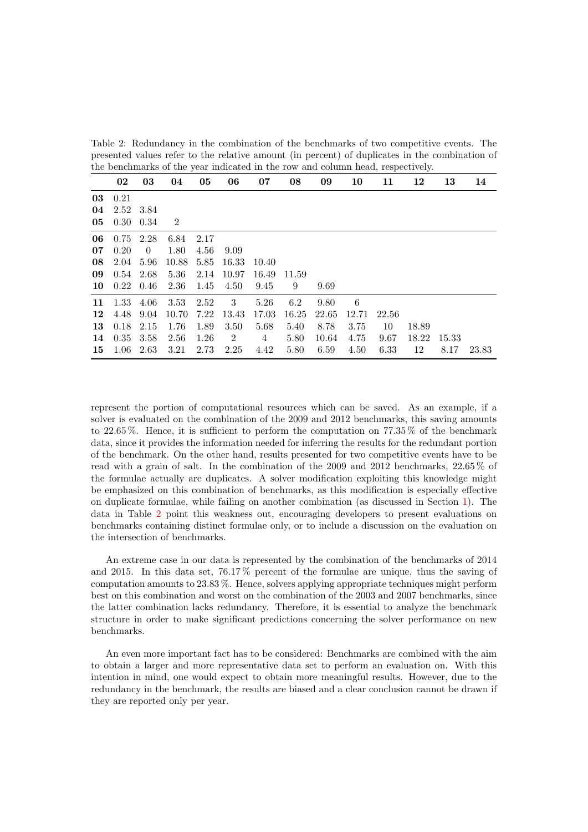<span id="page-4-0"></span>Table 2: Redundancy in the combination of the benchmarks of two competitive events. The presented values refer to the relative amount (in percent) of duplicates in the combination of the benchmarks of the year indicated in the row and column head, respectively.

|    | 02   | 03             | 04    | 05   | 06             | 07             | 08    | 09    | 10    | 11    | 12    | 13    | 14    |
|----|------|----------------|-------|------|----------------|----------------|-------|-------|-------|-------|-------|-------|-------|
| 03 | 0.21 |                |       |      |                |                |       |       |       |       |       |       |       |
| 04 | 2.52 | 3.84           |       |      |                |                |       |       |       |       |       |       |       |
| 05 | 0.30 | 0.34           | 2     |      |                |                |       |       |       |       |       |       |       |
| 06 | 0.75 | 2.28           | 6.84  | 2.17 |                |                |       |       |       |       |       |       |       |
| 07 | 0.20 | $\overline{0}$ | 1.80  | 4.56 | 9.09           |                |       |       |       |       |       |       |       |
| 08 | 2.04 | 5.96           | 10.88 | 5.85 | 16.33          | 10.40          |       |       |       |       |       |       |       |
| 09 | 0.54 | 2.68           | 5.36  | 2.14 | 10.97          | 16.49          | 11.59 |       |       |       |       |       |       |
| 10 | 0.22 | 0.46           | 2.36  | 1.45 | 4.50           | 9.45           | 9     | 9.69  |       |       |       |       |       |
| 11 | 1.33 | 4.06           | 3.53  | 2.52 | 3              | 5.26           | 6.2   | 9.80  | 6     |       |       |       |       |
| 12 | 4.48 | 9.04           | 10.70 | 7.22 | 13.43          | 17.03          | 16.25 | 22.65 | 12.71 | 22.56 |       |       |       |
| 13 | 0.18 | 2.15           | 1.76  | 1.89 | 3.50           | 5.68           | 5.40  | 8.78  | 3.75  | 10    | 18.89 |       |       |
| 14 | 0.35 | 3.58           | 2.56  | 1.26 | $\overline{2}$ | $\overline{4}$ | 5.80  | 10.64 | 4.75  | 9.67  | 18.22 | 15.33 |       |
| 15 | 1.06 | 2.63           | 3.21  | 2.73 | 2.25           | 4.42           | 5.80  | 6.59  | 4.50  | 6.33  | 12    | 8.17  | 23.83 |

represent the portion of computational resources which can be saved. As an example, if a solver is evaluated on the combination of the 2009 and 2012 benchmarks, this saving amounts to 22.65 %. Hence, it is sufficient to perform the computation on 77.35 % of the benchmark data, since it provides the information needed for inferring the results for the redundant portion of the benchmark. On the other hand, results presented for two competitive events have to be read with a grain of salt. In the combination of the 2009 and 2012 benchmarks, 22.65 % of the formulae actually are duplicates. A solver modification exploiting this knowledge might be emphasized on this combination of benchmarks, as this modification is especially effective on duplicate formulae, while failing on another combination (as discussed in Section [1\)](#page-0-0). The data in Table [2](#page-4-0) point this weakness out, encouraging developers to present evaluations on benchmarks containing distinct formulae only, or to include a discussion on the evaluation on the intersection of benchmarks.

An extreme case in our data is represented by the combination of the benchmarks of 2014 and 2015. In this data set, 76.17 % percent of the formulae are unique, thus the saving of computation amounts to 23.83 %. Hence, solvers applying appropriate techniques might perform best on this combination and worst on the combination of the 2003 and 2007 benchmarks, since the latter combination lacks redundancy. Therefore, it is essential to analyze the benchmark structure in order to make significant predictions concerning the solver performance on new benchmarks.

An even more important fact has to be considered: Benchmarks are combined with the aim to obtain a larger and more representative data set to perform an evaluation on. With this intention in mind, one would expect to obtain more meaningful results. However, due to the redundancy in the benchmark, the results are biased and a clear conclusion cannot be drawn if they are reported only per year.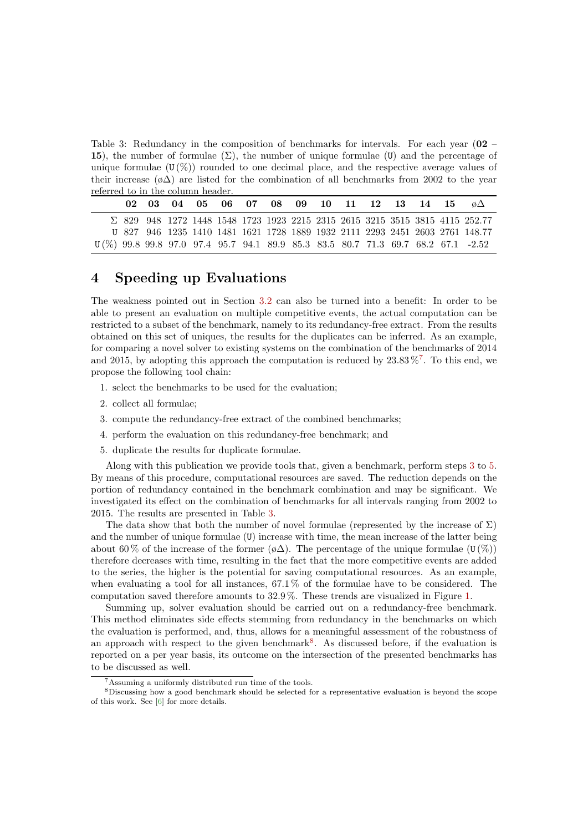<span id="page-5-4"></span>Table 3: Redundancy in the composition of benchmarks for intervals. For each year (02 – 15), the number of formulae  $(\Sigma)$ , the number of unique formulae (U) and the percentage of unique formulae  $(U(\%))$  rounded to one decimal place, and the respective average values of their increase ( $\delta \Delta$ ) are listed for the combination of all benchmarks from 2002 to the year referred to in the column header.

|  |  | 02 03 04 05 06 07 08 09 10 11 12 13 14 15 $\phi\Delta$ |  |  |  |  |  |                                                                                     |
|--|--|--------------------------------------------------------|--|--|--|--|--|-------------------------------------------------------------------------------------|
|  |  |                                                        |  |  |  |  |  | $\Sigma$ 829 948 1272 1448 1548 1723 1923 2215 2315 2615 3215 3515 3815 4115 252.77 |
|  |  |                                                        |  |  |  |  |  | U 827 946 1235 1410 1481 1621 1728 1889 1932 2111 2293 2451 2603 2761 148.77        |
|  |  |                                                        |  |  |  |  |  | U(%) 99.8 99.8 97.0 97.4 95.7 94.1 89.9 85.3 83.5 80.7 71.3 69.7 68.2 67.1 -2.52    |

## <span id="page-5-0"></span>4 Speeding up Evaluations

The weakness pointed out in Section [3.2](#page-3-3) can also be turned into a benefit: In order to be able to present an evaluation on multiple competitive events, the actual computation can be restricted to a subset of the benchmark, namely to its redundancy-free extract. From the results obtained on this set of uniques, the results for the duplicates can be inferred. As an example, for comparing a novel solver to existing systems on the combination of the benchmarks of 2014 and 2015, by adopting this approach the computation is reduced by  $23.83\,\%$ <sup>[7](#page-5-1)</sup>. To this end, we propose the following tool chain:

- 1. select the benchmarks to be used for the evaluation;
- 2. collect all formulae;
- <span id="page-5-2"></span>3. compute the redundancy-free extract of the combined benchmarks;
- 4. perform the evaluation on this redundancy-free benchmark; and
- <span id="page-5-3"></span>5. duplicate the results for duplicate formulae.

Along with this publication we provide tools that, given a benchmark, perform steps [3](#page-5-2) to [5.](#page-5-3) By means of this procedure, computational resources are saved. The reduction depends on the portion of redundancy contained in the benchmark combination and may be significant. We investigated its effect on the combination of benchmarks for all intervals ranging from 2002 to 2015. The results are presented in Table [3.](#page-5-4)

The data show that both the number of novel formulae (represented by the increase of  $\Sigma$ ) and the number of unique formulae (U) increase with time, the mean increase of the latter being about 60% of the increase of the former  $(\phi \Delta)$ . The percentage of the unique formulae (U(%)) therefore decreases with time, resulting in the fact that the more competitive events are added to the series, the higher is the potential for saving computational resources. As an example, when evaluating a tool for all instances, 67.1 % of the formulae have to be considered. The computation saved therefore amounts to 32.9 %. These trends are visualized in Figure [1.](#page-6-1)

Summing up, solver evaluation should be carried out on a redundancy-free benchmark. This method eliminates side effects stemming from redundancy in the benchmarks on which the evaluation is performed, and, thus, allows for a meaningful assessment of the robustness of an approach with respect to the given benchmark<sup>[8](#page-5-5)</sup>. As discussed before, if the evaluation is reported on a per year basis, its outcome on the intersection of the presented benchmarks has to be discussed as well.

<span id="page-5-5"></span><span id="page-5-1"></span><sup>7</sup>Assuming a uniformly distributed run time of the tools.

<sup>8</sup>Discussing how a good benchmark should be selected for a representative evaluation is beyond the scope of this work. See [\[6\]](#page-10-1) for more details.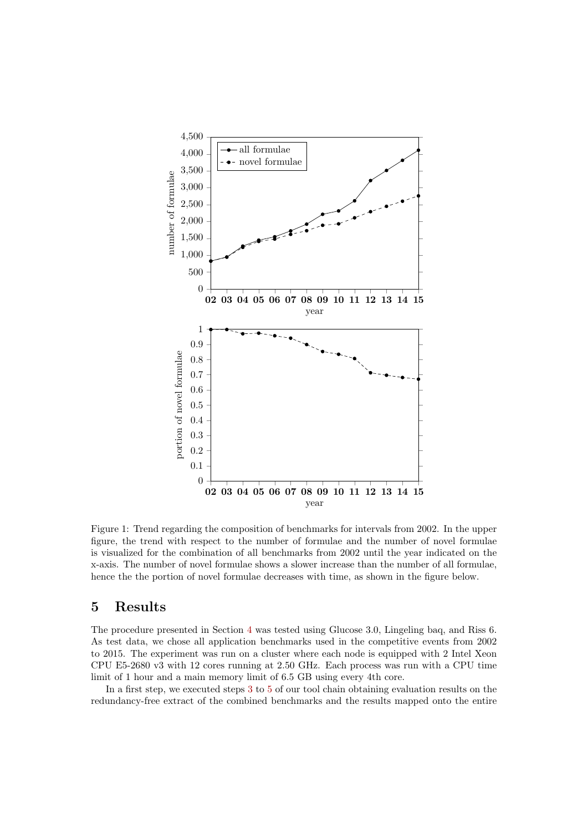

<span id="page-6-1"></span>Figure 1: Trend regarding the composition of benchmarks for intervals from 2002. In the upper figure, the trend with respect to the number of formulae and the number of novel formulae is visualized for the combination of all benchmarks from 2002 until the year indicated on the x-axis. The number of novel formulae shows a slower increase than the number of all formulae, hence the the portion of novel formulae decreases with time, as shown in the figure below.

### <span id="page-6-0"></span>5 Results

The procedure presented in Section [4](#page-5-0) was tested using Glucose 3.0, Lingeling baq, and Riss 6. As test data, we chose all application benchmarks used in the competitive events from 2002 to 2015. The experiment was run on a cluster where each node is equipped with 2 Intel Xeon CPU E5-2680 v3 with 12 cores running at 2.50 GHz. Each process was run with a CPU time limit of 1 hour and a main memory limit of 6.5 GB using every 4th core.

In a first step, we executed steps [3](#page-5-2) to [5](#page-5-3) of our tool chain obtaining evaluation results on the redundancy-free extract of the combined benchmarks and the results mapped onto the entire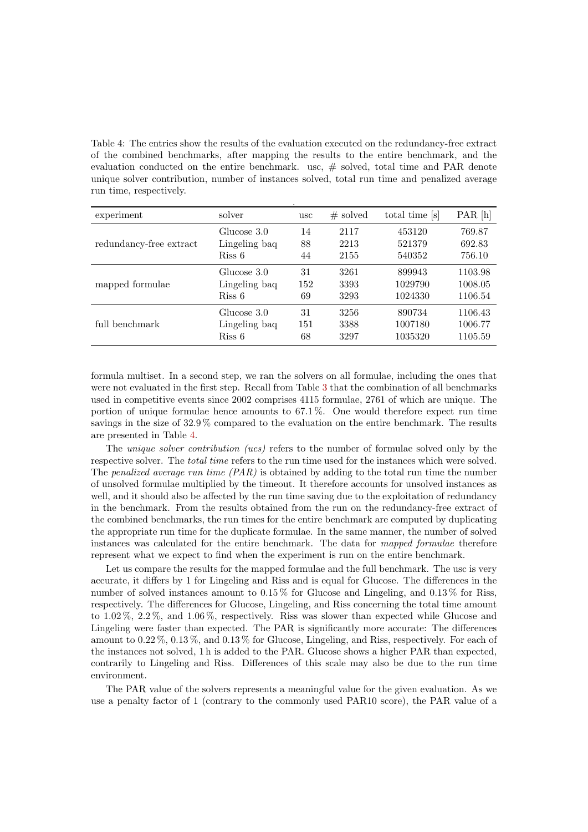<span id="page-7-0"></span>Table 4: The entries show the results of the evaluation executed on the redundancy-free extract of the combined benchmarks, after mapping the results to the entire benchmark, and the evaluation conducted on the entire benchmark. usc, # solved, total time and PAR denote unique solver contribution, number of instances solved, total run time and penalized average run time, respectively.

| experiment              | solver        | usc | $#$ solved | total time [s] | PAR [h] |
|-------------------------|---------------|-----|------------|----------------|---------|
| redundancy-free extract | Glucose 3.0   | 14  | 2117       | 453120         | 769.87  |
|                         | Lingeling baq | 88  | 2213       | 521379         | 692.83  |
|                         | Riss 6        | 44  | 2155       | 540352         | 756.10  |
| mapped formulae         | Glucose 3.0   | 31  | 3261       | 899943         | 1103.98 |
|                         | Lingeling baq | 152 | 3393       | 1029790        | 1008.05 |
|                         | Riss 6        | 69  | 3293       | 1024330        | 1106.54 |
| full benchmark          | Glucose 3.0   | 31  | 3256       | 890734         | 1106.43 |
|                         | Lingeling baq | 151 | 3388       | 1007180        | 1006.77 |
|                         | Riss 6        | 68  | 3297       | 1035320        | 1105.59 |

formula multiset. In a second step, we ran the solvers on all formulae, including the ones that were not evaluated in the first step. Recall from Table [3](#page-5-4) that the combination of all benchmarks used in competitive events since 2002 comprises 4115 formulae, 2761 of which are unique. The portion of unique formulae hence amounts to 67.1 %. One would therefore expect run time savings in the size of 32.9 % compared to the evaluation on the entire benchmark. The results are presented in Table [4.](#page-7-0)

The *unique solver contribution (ucs)* refers to the number of formulae solved only by the respective solver. The *total time* refers to the run time used for the instances which were solved. The penalized average run time  $(PAR)$  is obtained by adding to the total run time the number of unsolved formulae multiplied by the timeout. It therefore accounts for unsolved instances as well, and it should also be affected by the run time saving due to the exploitation of redundancy in the benchmark. From the results obtained from the run on the redundancy-free extract of the combined benchmarks, the run times for the entire benchmark are computed by duplicating the appropriate run time for the duplicate formulae. In the same manner, the number of solved instances was calculated for the entire benchmark. The data for mapped formulae therefore represent what we expect to find when the experiment is run on the entire benchmark.

Let us compare the results for the mapped formulae and the full benchmark. The usc is very accurate, it differs by 1 for Lingeling and Riss and is equal for Glucose. The differences in the number of solved instances amount to 0.15 % for Glucose and Lingeling, and 0.13 % for Riss, respectively. The differences for Glucose, Lingeling, and Riss concerning the total time amount to 1.02 %, 2.2 %, and 1.06 %, respectively. Riss was slower than expected while Glucose and Lingeling were faster than expected. The PAR is significantly more accurate: The differences amount to 0.22 %, 0.13 %, and 0.13 % for Glucose, Lingeling, and Riss, respectively. For each of the instances not solved, 1 h is added to the PAR. Glucose shows a higher PAR than expected, contrarily to Lingeling and Riss. Differences of this scale may also be due to the run time environment.

The PAR value of the solvers represents a meaningful value for the given evaluation. As we use a penalty factor of 1 (contrary to the commonly used PAR10 score), the PAR value of a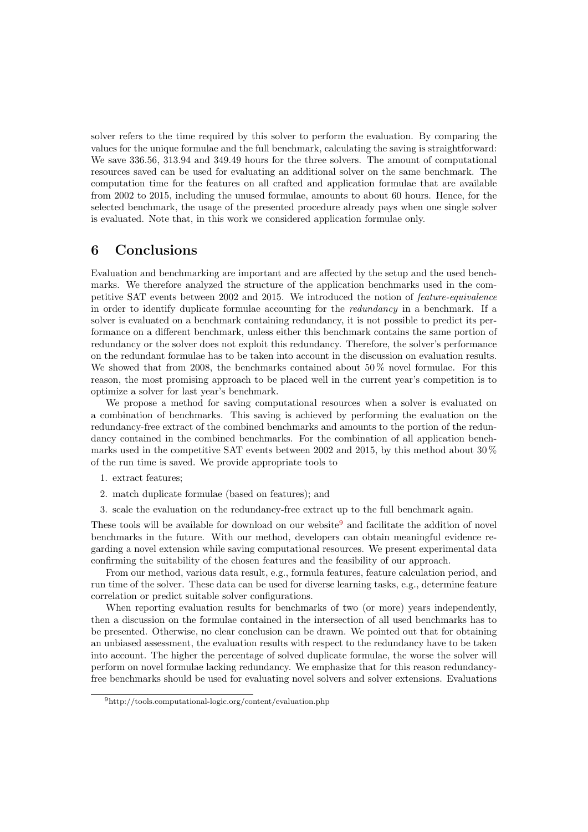solver refers to the time required by this solver to perform the evaluation. By comparing the values for the unique formulae and the full benchmark, calculating the saving is straightforward: We save 336.56, 313.94 and 349.49 hours for the three solvers. The amount of computational resources saved can be used for evaluating an additional solver on the same benchmark. The computation time for the features on all crafted and application formulae that are available from 2002 to 2015, including the unused formulae, amounts to about 60 hours. Hence, for the selected benchmark, the usage of the presented procedure already pays when one single solver is evaluated. Note that, in this work we considered application formulae only.

### <span id="page-8-0"></span>6 Conclusions

Evaluation and benchmarking are important and are affected by the setup and the used benchmarks. We therefore analyzed the structure of the application benchmarks used in the competitive SAT events between 2002 and 2015. We introduced the notion of feature-equivalence in order to identify duplicate formulae accounting for the redundancy in a benchmark. If a solver is evaluated on a benchmark containing redundancy, it is not possible to predict its performance on a different benchmark, unless either this benchmark contains the same portion of redundancy or the solver does not exploit this redundancy. Therefore, the solver's performance on the redundant formulae has to be taken into account in the discussion on evaluation results. We showed that from 2008, the benchmarks contained about  $50\%$  novel formulae. For this reason, the most promising approach to be placed well in the current year's competition is to optimize a solver for last year's benchmark.

We propose a method for saving computational resources when a solver is evaluated on a combination of benchmarks. This saving is achieved by performing the evaluation on the redundancy-free extract of the combined benchmarks and amounts to the portion of the redundancy contained in the combined benchmarks. For the combination of all application benchmarks used in the competitive SAT events between 2002 and 2015, by this method about 30 % of the run time is saved. We provide appropriate tools to

- 1. extract features;
- 2. match duplicate formulae (based on features); and
- 3. scale the evaluation on the redundancy-free extract up to the full benchmark again.

These tools will be available for download on our website<sup>[9](#page-8-1)</sup> and facilitate the addition of novel benchmarks in the future. With our method, developers can obtain meaningful evidence regarding a novel extension while saving computational resources. We present experimental data confirming the suitability of the chosen features and the feasibility of our approach.

From our method, various data result, e.g., formula features, feature calculation period, and run time of the solver. These data can be used for diverse learning tasks, e.g., determine feature correlation or predict suitable solver configurations.

When reporting evaluation results for benchmarks of two (or more) years independently, then a discussion on the formulae contained in the intersection of all used benchmarks has to be presented. Otherwise, no clear conclusion can be drawn. We pointed out that for obtaining an unbiased assessment, the evaluation results with respect to the redundancy have to be taken into account. The higher the percentage of solved duplicate formulae, the worse the solver will perform on novel formulae lacking redundancy. We emphasize that for this reason redundancyfree benchmarks should be used for evaluating novel solvers and solver extensions. Evaluations

<span id="page-8-1"></span><sup>9</sup>http://tools.computational-logic.org/content/evaluation.php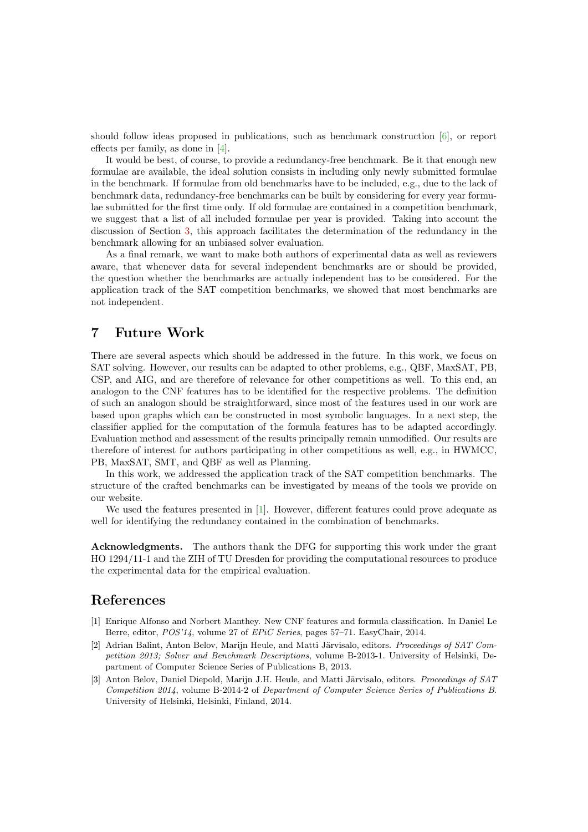should follow ideas proposed in publications, such as benchmark construction [\[6\]](#page-10-1), or report effects per family, as done in [\[4\]](#page-10-2).

It would be best, of course, to provide a redundancy-free benchmark. Be it that enough new formulae are available, the ideal solution consists in including only newly submitted formulae in the benchmark. If formulae from old benchmarks have to be included, e.g., due to the lack of benchmark data, redundancy-free benchmarks can be built by considering for every year formulae submitted for the first time only. If old formulae are contained in a competition benchmark, we suggest that a list of all included formulae per year is provided. Taking into account the discussion of Section [3,](#page-2-0) this approach facilitates the determination of the redundancy in the benchmark allowing for an unbiased solver evaluation.

As a final remark, we want to make both authors of experimental data as well as reviewers aware, that whenever data for several independent benchmarks are or should be provided, the question whether the benchmarks are actually independent has to be considered. For the application track of the SAT competition benchmarks, we showed that most benchmarks are not independent.

### <span id="page-9-0"></span>7 Future Work

There are several aspects which should be addressed in the future. In this work, we focus on SAT solving. However, our results can be adapted to other problems, e.g., QBF, MaxSAT, PB, CSP, and AIG, and are therefore of relevance for other competitions as well. To this end, an analogon to the CNF features has to be identified for the respective problems. The definition of such an analogon should be straightforward, since most of the features used in our work are based upon graphs which can be constructed in most symbolic languages. In a next step, the classifier applied for the computation of the formula features has to be adapted accordingly. Evaluation method and assessment of the results principally remain unmodified. Our results are therefore of interest for authors participating in other competitions as well, e.g., in HWMCC, PB, MaxSAT, SMT, and QBF as well as Planning.

In this work, we addressed the application track of the SAT competition benchmarks. The structure of the crafted benchmarks can be investigated by means of the tools we provide on our website.

We used the features presented in [\[1\]](#page-9-1). However, different features could prove adequate as well for identifying the redundancy contained in the combination of benchmarks.

Acknowledgments. The authors thank the DFG for supporting this work under the grant HO 1294/11-1 and the ZIH of TU Dresden for providing the computational resources to produce the experimental data for the empirical evaluation.

### References

- <span id="page-9-1"></span>[1] Enrique Alfonso and Norbert Manthey. New CNF features and formula classification. In Daniel Le Berre, editor, POS'14, volume 27 of EPiC Series, pages 57–71. EasyChair, 2014.
- <span id="page-9-2"></span>[2] Adrian Balint, Anton Belov, Marijn Heule, and Matti Järvisalo, editors. Proceedings of SAT Competition 2013; Solver and Benchmark Descriptions, volume B-2013-1. University of Helsinki, Department of Computer Science Series of Publications B, 2013.
- <span id="page-9-3"></span>[3] Anton Belov, Daniel Diepold, Marijn J.H. Heule, and Matti Järvisalo, editors. Proceedings of SAT Competition 2014, volume B-2014-2 of Department of Computer Science Series of Publications B. University of Helsinki, Helsinki, Finland, 2014.